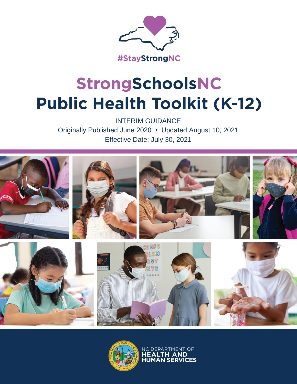

# StrongSchoolsNC **Public Health Toolkit (K-12)**

INTERIM GUIDANCE Originally Published June 2020 • Updated August 10, 2021 Effective Date: July 30, 2021





NC DEPARTMENT OF **HEALTH AND**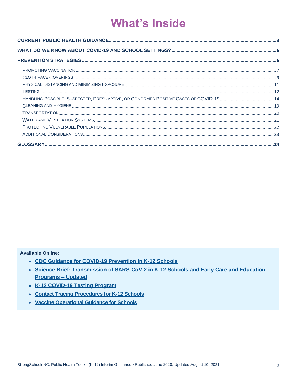## **What's Inside**

**Available Online:** 

- CDC Guidance for COVID-19 Prevention in K-12 Schools
- Science Brief: Transmission of SARS-CoV-2 in K-12 Schools and Early Care and Education **Programs - Updated**
- K-12 COVID-19 Testing Program
- Contact Tracing Procedures for K-12 Schools
- Vaccine Operational Guidance for Schools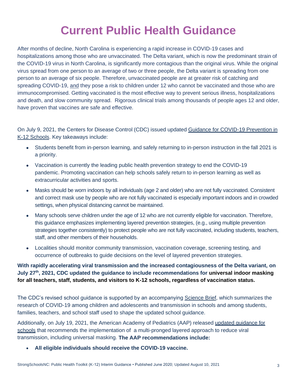### **Current Public Health Guidance**

<span id="page-2-0"></span>After months of decline, North Carolina is experiencing a rapid increase in COVID-19 cases and hospitalizations among those who are unvaccinated. The Delta variant, which is now the predominant strain of the COVID-19 virus in North Carolina, is significantly more contagious than the original virus. While the original virus spread from one person to an average of two or three people, the Delta variant is spreading from one person to an average of six people. Therefore, unvaccinated people are at greater risk of catching and spreading COVID-19, and they pose a risk to children under 12 who cannot be vaccinated and those who are immunocompromised. Getting vaccinated is the most effective way to prevent serious illness, hospitalizations and death, and slow community spread. Rigorous clinical trials among thousands of people ages 12 and older, have proven that vaccines are safe and effective.

On July 9, 2021, the Centers for Disease Control (CDC) issued updated [Guidance for COVID-19 Prevention in](https://www.cdc.gov/coronavirus/2019-ncov/community/schools-childcare/k-12-guidance.html)  [K-12 Schools.](https://www.cdc.gov/coronavirus/2019-ncov/community/schools-childcare/k-12-guidance.html) Key takeaways include:

- Students benefit from in-person learning, and safely returning to in-person instruction in the fall 2021 is a priority.
- Vaccination is currently the leading public health prevention strategy to end the COVID-19 pandemic. Promoting vaccination can help schools safely return to in-person learning as well as extracurricular activities and sports.
- Masks should be worn indoors by all individuals (age 2 and older) who are not fully vaccinated. Consistent and correct mask use by people who are not fully vaccinated is especially important indoors and in crowded settings, when physical distancing cannot be maintained.
- Many schools serve children under the age of 12 who are not currently eligible for vaccination. Therefore, this guidance emphasizes implementing layered prevention strategies, (e.g., using multiple prevention strategies together consistently) to protect people who are not fully vaccinated, including students, teachers, staff, and other members of their households.
- Localities should monitor community transmission, vaccination coverage, screening testing, and occurrence of outbreaks to guide decisions on the level of layered prevention strategies.

### **With rapidly accelerating viral transmission and the increased contagiousness of the Delta variant, on July 27th, 2021, CDC updated the guidance to include recommendations for universal indoor masking for all teachers, staff, students, and visitors to K-12 schools, regardless of vaccination status.**

The CDC's revised school guidance is supported by an accompanying [Science Brief,](https://www.cdc.gov/coronavirus/2019-ncov/science/science-briefs/transmission_k_12_schools.html) which summarizes the research of COVID-19 among children and adolescents and transmission in schools and among students, families, teachers, and school staff used to shape the updated school guidance.

Additionally, on July 19, 2021, the American Academy of Pediatrics (AAP) released [updated guidance for](https://services.aap.org/en/pages/2019-novel-coronavirus-covid-19-infections/clinical-guidance/covid-19-planning-considerations-return-to-in-person-education-in-schools/)  [schools](https://services.aap.org/en/pages/2019-novel-coronavirus-covid-19-infections/clinical-guidance/covid-19-planning-considerations-return-to-in-person-education-in-schools/) that recommends the implementation of a multi-pronged layered approach to reduce viral transmission, including universal masking. **The AAP recommendations include:**

• **All eligible individuals should receive the COVID-19 vaccine.**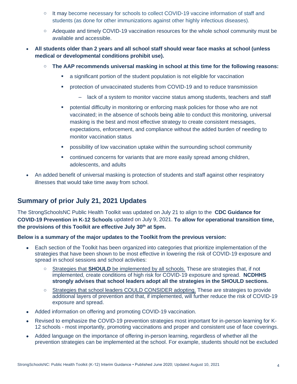- o It may become necessary for schools to collect COVID-19 vaccine information of staff and students (as done for other immunizations against other highly infectious diseases).
- o Adequate and timely COVID-19 vaccination resources for the whole school community must be available and accessible.
- **All students older than 2 years and all school staff should wear face masks at school (unless medical or developmental conditions prohibit use).**
	- o **The AAP recommends universal masking in school at this time for the following reasons:**
		- a significant portion of the student population is not eligible for vaccination
		- **•** protection of unvaccinated students from COVID-19 and to reduce transmission
			- lack of a system to monitor vaccine status among students, teachers and staff
		- **•** potential difficulty in monitoring or enforcing mask policies for those who are not vaccinated; in the absence of schools being able to conduct this monitoring, universal masking is the best and most effective strategy to create consistent messages, expectations, enforcement, and compliance without the added burden of needing to monitor vaccination status
		- possibility of low vaccination uptake within the surrounding school community
		- **•** continued concerns for variants that are more easily spread among children, adolescents, and adults
- An added benefit of universal masking is protection of students and staff against other respiratory illnesses that would take time away from school.

### **Summary of prior July 21, 2021 Updates**

The StrongSchoolsNC Public Health Toolkit was updated on July 21 to align to the **[CDC Guidance for](https://www.cdc.gov/coronavirus/2019-ncov/community/schools-childcare/k-12-guidance.html)  [COVID-19 Prevention in K-12 Schools](https://www.cdc.gov/coronavirus/2019-ncov/community/schools-childcare/k-12-guidance.html)** updated on July 9, 2021. **To allow for operational transition time, the provisions of this Toolkit are effective July 30th at 5pm.**

#### **Below is a summary of the major updates to the Toolkit from the previous version:**

- Each section of the Toolkit has been organized into categories that prioritize implementation of the strategies that have been shown to be most effective in lowering the risk of COVID-19 exposure and spread in school sessions and school activities:
	- o Strategies that **SHOULD** be implemented by all schools. These are strategies that, if not implemented, create conditions of high risk for COVID-19 exposure and spread. **NCDHHS strongly advises that school leaders adopt all the strategies in the SHOULD sections.**
	- o Strategies that school leaders COULD CONSIDER adopting. These are strategies to provide additional layers of prevention and that, if implemented, will further reduce the risk of COVID-19 exposure and spread.
- Added information on offering and promoting COVID-19 vaccination.
- Revised to emphasize the COVID-19 prevention strategies most important for in-person learning for K-12 schools - most importantly, promoting vaccinations and proper and consistent use of face coverings.
- Added language on the importance of offering in-person learning, regardless of whether all the prevention strategies can be implemented at the school. For example, students should not be excluded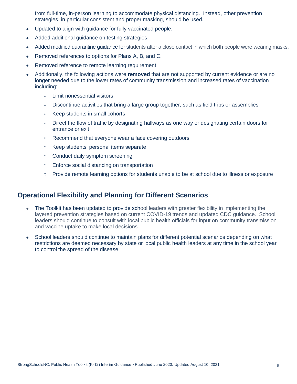from full-time, in-person learning to accommodate physical distancing. Instead, other prevention strategies, in particular consistent and proper masking, should be used.

- Updated to align with guidance for fully vaccinated people.
- Added additional guidance on testing strategies
- Added modified quarantine guidance for students after a close contact in which both people were wearing masks.
- Removed references to options for Plans A, B, and C.
- Removed reference to remote learning requirement.
- Additionally, the following actions were **removed** that are not supported by current evidence or are no longer needed due to the lower rates of community transmission and increased rates of vaccination including:
	- o Limit nonessential visitors
	- $\circ$  Discontinue activities that bring a large group together, such as field trips or assemblies
	- o Keep students in small cohorts
	- $\circ$  Direct the flow of traffic by designating hallways as one way or designating certain doors for entrance or exit
	- o Recommend that everyone wear a face covering outdoors
	- o Keep students' personal items separate
	- o Conduct daily symptom screening
	- o Enforce social distancing on transportation
	- o Provide remote learning options for students unable to be at school due to illness or exposure

### **Operational Flexibility and Planning for Different Scenarios**

- The Toolkit has been updated to provide school leaders with greater flexibility in implementing the layered prevention strategies based on current COVID-19 trends and updated CDC guidance. School leaders should continue to consult with local public health officials for input on community transmission and vaccine uptake to make local decisions.
- School leaders should continue to maintain plans for different potential scenarios depending on what restrictions are deemed necessary by state or local public health leaders at any time in the school year to control the spread of the disease.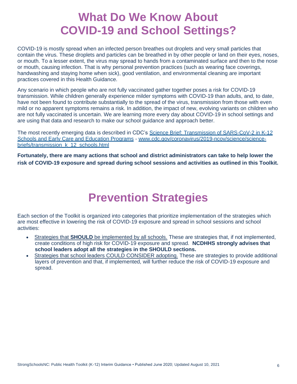### **What Do We Know About COVID-19 and School Settings?**

<span id="page-5-0"></span>COVID-19 is mostly spread when an infected person breathes out droplets and very small particles that contain the virus. These droplets and particles can be breathed in by other people or land on their eyes, noses, or mouth. To a lesser extent, the virus may spread to hands from a contaminated surface and then to the nose or mouth, causing infection. That is why personal prevention practices (such as wearing face coverings, handwashing and staying home when sick), good ventilation, and environmental cleaning are important practices covered in this Health Guidance.

Any scenario in which people who are not fully vaccinated gather together poses a risk for COVID-19 transmission. While children generally experience milder symptoms with COVID-19 than adults, and, to date, have not been found to contribute substantially to the spread of the virus, transmission from those with even mild or no apparent symptoms remains a risk. In addition, the impact of new, evolving variants on children who are not fully vaccinated is uncertain. We are learning more every day about COVID-19 in school settings and are using that data and research to make our school guidance and approach better.

The most recently emerging data is described in CDC's Science Brief: Transmission of SARS-CoV-2 in K-12 [Schools and Early Care and Education Programs](https://www.cdc.gov/coronavirus/2019-ncov/science/science-briefs/transmission_k_12_schools.html) - [www.cdc.gov/coronavirus/2019-ncov/science/science](https://www.cdc.gov/coronavirus/2019-ncov/science/science-briefs/transmission_k_12_schools.html)[briefs/transmission\\_k\\_12\\_schools.html](https://www.cdc.gov/coronavirus/2019-ncov/science/science-briefs/transmission_k_12_schools.html)

**Fortunately, there are many actions that school and district administrators can take to help lower the risk of COVID-19 exposure and spread during school sessions and activities as outlined in this Toolkit.**

### **Prevention Strategies**

<span id="page-5-1"></span>Each section of the Toolkit is organized into categories that prioritize implementation of the strategies which are most effective in lowering the risk of COVID-19 exposure and spread in school sessions and school activities:

- Strategies that **SHOULD** be implemented by all schools. These are strategies that, if not implemented, create conditions of high risk for COVID-19 exposure and spread. **NCDHHS strongly advises that school leaders adopt all the strategies in the SHOULD sections.**
- Strategies that school leaders COULD CONSIDER adopting. These are strategies to provide additional layers of prevention and that, if implemented, will further reduce the risk of COVID-19 exposure and spread.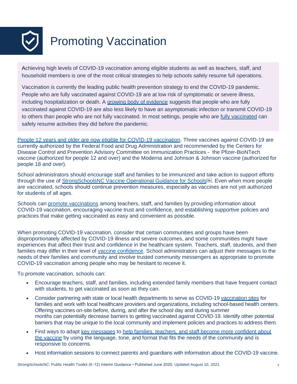<span id="page-6-0"></span>

Achieving high levels of COVID-19 vaccination among eligible students as well as teachers, staff, and household members is one of the most critical strategies to help schools safely resume full operations.

Vaccination is currently the leading public health prevention strategy to end the COVID-19 pandemic. People who are fully vaccinated against COVID-19 are at low risk of symptomatic or severe illness, including hospitalization or death. A [growing body of evidence](https://www.cdc.gov/coronavirus/2019-ncov/science/science-briefs/fully-vaccinated-people.html) suggests that people who are fully vaccinated against COVID-19 are also less likely to have an asymptomatic infection or transmit COVID-19 to others than people who are not [fully vaccinated](https://www.cdc.gov/coronavirus/2019-ncov/vaccines/fully-vaccinated.html). In most settings, people who are fully vaccinated can safely resume activities they did before the pandemic.

People [12 years and older are now eligible for COVID-19 vaccination.](https://www.cdc.gov/coronavirus/2019-ncov/vaccines/recommendations/adolescents.html) Three vaccines against COVID-19 are currently authorized by the Federal Food and Drug Administration and recommended by the Centers for Disease Control and Prevention Advisory Committee on Immunization Practices - the Pfizer-BioNTech vaccine (authorized for people 12 and over) and the Moderna and Johnson & Johnson vaccine (authorized for people 18 and over).

School administrators should encourage staff and families to be immunized and take action to support efforts through the use of [StrongSchoolsNC Vaccine Operational Guidance for Schools](https://files.nc.gov/covid/documents/guidance/education/Vaccine-Operational-Guidance-for-Schools.pdf).<sup>[6][6]</sup>. Even when more people are vaccinated, schools should continue prevention measures, especially as vaccines are not yet authorized for students of all ages.

Schools can [promote vaccinations](https://www.cdc.gov/vaccines/covid-19/planning/school-located-clinics/how-schools-can-support.html) among teachers, staff, and families by providing information about COVID-19 vaccination, encouraging vaccine trust and confidence, and establishing supportive policies and practices that make getting vaccinated as easy and convenient as possible.

When promoting COVID-19 vaccination, consider that certain communities and groups have been disproportionately affected by COVID-19 illness and severe outcomes, and some communities might have experiences that affect their trust and confidence in the healthcare system. Teachers, staff, students, and their families may differ in their level of [vaccine confidence.](https://www.cdc.gov/coronavirus/2019-ncov/vaccines/toolkits/health-departments.html#anchor_1617740003) School administrators can adjust their messages to the needs of their families and community and involve trusted community messengers as appropriate to promote COVID-19 vaccination among people who may be hesitant to receive it.

To promote vaccination, schools can:

- Encourage teachers, staff, and families, including extended family members that have frequent contact with students, to get vaccinated as soon as they can.
- Consider partnering with state or local health departments to serve as COVID-19 [vaccination sites](https://www.cdc.gov/vaccines/covid-19/planning/school-located-clinics.html) for families and work with local healthcare providers and organizations, including school-based health centers. Offering vaccines on-site before, during, and after the school day and during summer months can potentially decrease barriers to getting vaccinated against COVID-19. Identify other potential barriers that may be unique to the local community and implement policies and practices to address them.
- Find ways to adapt [key messages](https://www.cdc.gov/coronavirus/2019-ncov/vaccines/keythingstoknow.html) to help families, teachers, and staff become more confident about [the vaccine](https://www.cdc.gov/vaccines/covid-19/vaccinate-with-confidence.html) by using the language, tone, and format that fits the needs of the community and is responsive to concerns.
- Host information sessions to connect parents and guardians with information about the COVID-19 vaccine.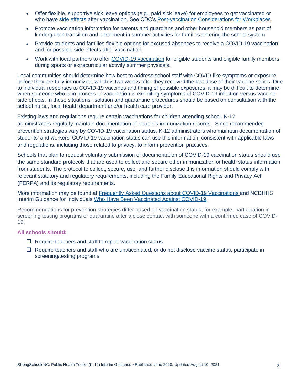- Offer flexible, supportive sick leave options (e.g., paid sick leave) for employees to get vaccinated or who have [side effects](https://www.cdc.gov/coronavirus/2019-ncov/vaccines/expect/after.html) after vaccination. See CDC's [Post-vaccination Considerations for Workplaces.](https://www.cdc.gov/coronavirus/2019-ncov/community/workplaces-businesses/vaccination-considerations-for-workplaces.html)
- Promote vaccination information for parents and guardians and other household members as part of kindergarten transition and enrollment in summer activities for families entering the school system.
- Provide students and families flexible options for excused absences to receive a COVID-19 vaccination and for possible side effects after vaccination.
- Work with local partners to offer [COVID-19 vaccination](https://www.cdc.gov/vaccines/covid-19/planning/school-located-clinics.html) for eligible students and eligible family members during sports or extracurricular activity summer physicals.

Local communities should determine how best to address school staff with COVID-like symptoms or exposure before they are fully immunized, which is two weeks after they received the last dose of their vaccine series. Due to individual responses to COVID-19 vaccines and timing of possible exposures, it may be difficult to determine when someone who is in process of vaccination is exhibiting symptoms of COVID-19 infection versus vaccine side effects. In these situations, isolation and quarantine procedures should be based on consultation with the school nurse, local health department and/or health care provider.

Existing laws and regulations require certain vaccinations for children attending school. K-12 administrators regularly maintain documentation of people's immunization records. Since recommended prevention strategies vary by COVID-19 vaccination status, K-12 administrators who maintain documentation of students' and workers' COVID-19 vaccination status can use this information, consistent with applicable laws and regulations, including those related to privacy, to inform prevention practices.

Schools that plan to request voluntary submission of documentation of COVID-19 vaccination status should use the same standard protocols that are used to collect and secure other immunization or health status information from students. The protocol to collect, secure, use, and further disclose this information should comply with relevant statutory and regulatory requirements, including the Family Educational Rights and Privacy Act (FERPA) and its regulatory requirements.

More information may be found at [Frequently Asked Questions about COVID-19 Vaccinations a](https://covid19.ncdhhs.gov/vaccines/frequently-asked-questions-about-covid-19-vaccinations)nd [NCDHHS](https://files.nc.gov/covid/documents/guidance/vaccinations/NCDHHS-Interim-Guidance-for-Individuals-Who-Have-Been-Vaccinated-Against-COVID-19.pdf)  [Interim Guidance for Individuals Who Have Been Vaccinated Against COVID-19.](https://files.nc.gov/covid/documents/guidance/vaccinations/NCDHHS-Interim-Guidance-for-Individuals-Who-Have-Been-Vaccinated-Against-COVID-19.pdf)

Recommendations for prevention strategies differ based on vaccination status, for example, participation in screening testing programs or quarantine after a close contact with someone with a confirmed case of COVID-19.

#### **All schools should:**

- $\Box$  Require teachers and staff to report vaccination status.
- $\Box$  Require teachers and staff who are unvaccinated, or do not disclose vaccine status, participate in screening/testing programs.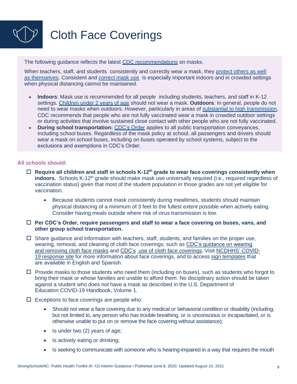# <span id="page-8-0"></span>Cloth Face Coverings

The following guidance reflects the latest [CDC recommendations](https://www.cdc.gov/coronavirus/2019-ncov/community/schools-childcare/operation-strategy.html) on masks.

When teachers, staff, and students consistently and correctly wear a mask, they protect others as well [as themselves.](https://www.cdc.gov/coronavirus/2019-ncov/science/science-briefs/masking-science-sars-cov2.html) Consistent and [correct mask use](https://www.cdc.gov/coronavirus/2019-ncov/prevent-getting-sick/how-to-wear-cloth-face-coverings.html) is especially important indoors and in crowded settings when physical distancing cannot be maintained.

- **Indoors**: Mask use is recommended for all people including students, teachers, and staff in K-12 settings. [Children under 2 years of age](https://www.cdc.gov/coronavirus/2019-ncov/prevent-getting-sick/about-face-coverings.html) should not wear a mask. **Outdoors**: In general, people do not need to wear masks when outdoors. However, particularly in areas of [substantial to high transmission,](https://covid.cdc.gov/covid-data-tracker/#county-view) CDC recommends that people who are not fully vaccinated wear a mask in crowded outdoor settings or during activities that involve sustained close contact with other people who are not fully vaccinated.
- **During school transportation:** [CDC's Order](https://www.cdc.gov/quarantine/masks/mask-travel-guidance.html) applies to all public transportation conveyances, including school buses. Regardless of the mask policy at school, all passengers and drivers should wear a mask on school buses, including on buses operated by school systems, subject to the exclusions and exemptions in CDC's Order.

#### **All schools should:**

- **Require all children and staff in schools K-12th grade to wear face coverings consistently when indoors.** Schools K-12<sup>th</sup> grade should make mask use universally required (i.e., required regardless of vaccination status) given that most of the student population in those grades are not yet eligible for vaccination.
	- Because students cannot mask consistently during mealtimes, students should maintain physical distancing of a minimum of 3 feet to the fullest extent possible when actively eating. Consider having meals outside where risk of virus transmission is low.
- **Per CDC's Order, require passengers and staff to wear a face covering on buses, vans, and other group school transportation.**
- $\Box$  Share guidance and information with teachers, staff, students, and families on the proper use, wearing, removal, and cleaning of cloth face coverings, such as [CDC's guidance on wearing](https://www.cdc.gov/coronavirus/2019-ncov/downloads/cloth-face-covering.pdf) [and removing cloth face masks](https://www.cdc.gov/coronavirus/2019-ncov/downloads/cloth-face-covering.pdf) and [CDC's](https://www.cdc.gov/coronavirus/2019-ncov/prevent-getting-sick/diy-cloth-face-coverings.html) [use of cloth face coverings.](https://www.cdc.gov/coronavirus/2019-ncov/prevent-getting-sick/diy-cloth-face-coverings.html) Visit [NCDHHS'](https://covid19.ncdhhs.gov/guidance#phase-2-easing-of-restrictions) [COVID-](https://covid19.ncdhhs.gov/guidance#phase-2-easing-of-restrictions)[19 response site](https://covid19.ncdhhs.gov/guidance#phase-2-easing-of-restrictions) for more information about face coverings, and to access [sign](https://covid19.ncdhhs.gov/materials-resources/know-your-ws-wear-wait-wash#wear) [templates](https://covid19.ncdhhs.gov/materials-resources/know-your-ws-wear-wait-wash#wear) that are available in English and Spanish.
- $\Box$  Provide masks to those students who need them (including on buses), such as students who forgot to bring their mask or whose families are unable to afford them. No disciplinary action should be taken against a student who does not have a mask as described in the U.S. Department of Education COVID-19 Handbook, Volume 1.
- $\square$  Exceptions to face coverings are people who:
	- Should not wear a face covering due to any medical or behavioral condition or disability (including, but not limited to, any person who has trouble breathing, or is unconscious or incapacitated, or is otherwise unable to put on or remove the face covering without assistance);
	- Is under two (2) years of age;
	- Is actively eating or drinking;
	- Is seeking to communicate with someone who is hearing-impaired in a way that requires the mouth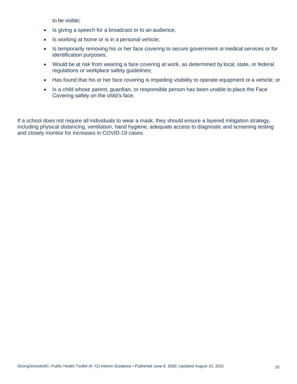to be visible;

- Is giving a speech for a broadcast or to an audience;
- Is working at home or is in a personal vehicle;
- Is temporarily removing his or her face covering to secure government or medical services or for identification purposes;
- Would be at risk from wearing a face covering at work, as determined by local, state, or federal regulations or workplace safety guidelines;
- Has found that his or her face covering is impeding visibility to operate equipment or a vehicle; or
- Is a child whose parent, guardian, or responsible person has been unable to place the Face Covering safely on the child's face.

If a school does not require all individuals to wear a mask, they should ensure a layered mitigation strategy, including physical distancing, ventilation, hand hygiene, adequate access to diagnostic and screening testing and closely monitor for increases in COVID-19 cases.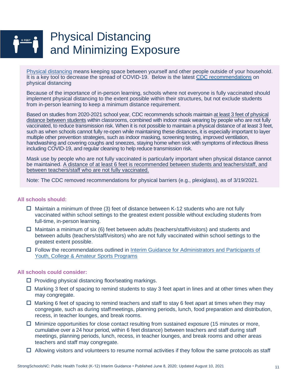### <span id="page-10-0"></span>Physical Distancing and Minimizing Exposure

[Physical distancing](https://www.cdc.gov/coronavirus/2019-ncov/prevent-getting-sick/social-distancing.html) means keeping space between yourself and other people outside of your household. It is a key tool to decrease the spread of COVID-19. Below is the latest [CDC recommendations](https://www.cdc.gov/coronavirus/2019-ncov/community/schools-childcare/operation-strategy.html) on physical distancing

Because of the importance of in-person learning, schools where not everyone is fully vaccinated should implement physical distancing to the extent possible within their structures, but not exclude students from in-person learning to keep a minimum distance requirement.

Based on studies from 2020-2021 school year, CDC recommends schools maintain at least 3 feet of physical distance between students within classrooms, combined with indoor mask wearing by people who are not fully vaccinated, to reduce transmission risk. When it is not possible to maintain a physical distance of at least 3 feet, such as when schools cannot fully re-open while maintaining these distances, it is especially important to layer multiple other prevention strategies, such as indoor masking, screening testing, improved ventilation, handwashing and covering coughs and sneezes, staying home when sick with symptoms of infectious illness including COVID-19, and regular cleaning to help reduce transmission risk.

Mask use by people who are not fully vaccinated is particularly important when physical distance cannot be maintained. A distance of at least 6 feet is recommended between students and teachers/staff, and between teachers/staff who are not fully vaccinated.

Note: The CDC removed recommendations for physical barriers (e.g., plexiglass), as of 3/19/2021.

#### **All schools should:**

- $\Box$  Maintain a minimum of three (3) feet of distance between K-12 students who are not fully vaccinated within school settings to the greatest extent possible without excluding students from full-time, in-person learning.
- $\Box$  Maintain a minimum of six (6) feet between adults (teachers/staff/visitors) and students and between adults (teachers/staff/visitors) who are not fully vaccinated within school settings to the greatest extent possible.
- $\Box$  Follow the recommendations outlined in [Interim](https://files.nc.gov/covid/documents/guidance/NCDHHS-Interim-Guidance-for-Youth-Amateur-Sports.pdf) [Guidance for Administrators and Participants of](https://files.nc.gov/covid/documents/guidance/NCDHHS-Interim-Guidance-for-Youth-Amateur-Sports.pdf) [Youth, College & Amateur Sports Programs](https://files.nc.gov/covid/documents/guidance/NCDHHS-Interim-Guidance-for-Youth-Amateur-Sports.pdf)

- $\square$  Providing physical distancing floor/seating markings.
- $\Box$  Marking 3 feet of spacing to remind students to stay 3 feet apart in lines and at other times when they may congregate.
- $\Box$  Marking 6 feet of spacing to remind teachers and staff to stay 6 feet apart at times when they may congregate, such as during staffmeetings, planning periods, lunch, food preparation and distribution, recess, in teacher lounges, and break rooms.
- $\Box$  Minimize opportunities for close contact resulting from sustained exposure (15 minutes or more, cumulative over a 24 hour period, within 6 feet distance) between teachers and staff during staff meetings, planning periods, lunch, recess, in teacher lounges, and break rooms and other areas teachers and staff may congregate.
- $\Box$  Allowing visitors and volunteers to resume normal activities if they follow the same protocols as staff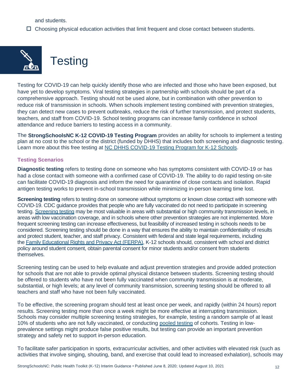and students.

 $\Box$  Choosing physical education activities that limit frequent and close contact between students.

<span id="page-11-0"></span>

**Testing** 

Testing for COVID-19 can help quickly identify those who are infected and those who have been exposed, but have yet to develop symptoms. Viral testing strategies in partnership with schools should be part of a comprehensive approach. Testing should not be used alone, but in combination with other prevention to reduce risk of transmission in schools. When schools implement testing combined with prevention strategies, they can detect new cases to prevent outbreaks, reduce the risk of further transmission, and protect students, teachers, and staff from COVID-19. School testing programs can increase family confidence in school attendance and reduce barriers to testing access in a community.

The **StrongSchoolsNC K-12 COVID-19 Testing Program** provides an ability for schools to implement a testing plan at no cost to the school or the district (funded by DHHS) that includes both screening and diagnostic testing. Learn more about this free testing at [NC DHHS COVID-19 Testing Program for K-12 Schools.](https://covid19.ncdhhs.gov/SchoolTesting)

#### **Testing Scenarios**

**Diagnostic testing** refers to testing done on someone who has symptoms consistent with COVID-19 or has had a close contact with someone with a confirmed case of COVID-19. The ability to do rapid testing on-site can facilitate COVID-19 diagnosis and inform the need for quarantine of close contacts and isolation. Rapid antigen testing works to prevent in-school transmission while minimizing in-person learning time lost.

**Screening testing** refers to testing done on someone without symptoms or known close contact with someone with COVID-19. CDC guidance provides that people who are fully vaccinated do not need to participate in screening testing. [Screening testing](https://www.cdc.gov/coronavirus/2019-ncov/lab/resources/sars-cov2-testing-strategies.html) may be most valuable in areas with substantial or high community transmission levels, in areas with low vaccination coverage, and in schools where other prevention strategies are not implemented. More frequent screening testing can increase effectiveness, but feasibility of increased testing in schools needs to be considered. Screening testing should be done in a way that ensures the ability to maintain confidentiality of results and protect student, teacher, and staff privacy. Consistent with federal and state legal requirements, including the [Family Educational Rights and Privacy Act \(FERPA\),](https://studentprivacy.ed.gov/?src=fpco) K-12 schools should, consistent with school and district policy around student consent, obtain parental consent for minor students and/or consent from students themselves.

Screening testing can be used to help evaluate and adjust prevention strategies and provide added protection for schools that are not able to provide optimal physical distance between students. Screening testing should be offered to students who have not been fully vaccinated when community transmission is at moderate, substantial, or high levels; at any level of community transmission, screening testing should be offered to all teachers and staff who have not been fully vaccinated.

To be effective, the screening program should test at least once per week, and rapidly (within 24 hours) report results. Screening testing more than once a week might be more effective at interrupting transmission. Schools may consider multiple screening testing strategies, for example, testing a random sample of at least 10% of students who are not fully vaccinated, or conducting [pooled testing](https://www.cdc.gov/coronavirus/2019-ncov/lab/pooling-procedures.html) of cohorts. Testing in lowprevalence settings might produce false positive results, but testing can provide an important prevention strategy and safety net to support in-person education.

To facilitate safer participation in sports, extracurricular activities, and other activities with elevated risk (such as activities that involve singing, shouting, band, and exercise that could lead to increased exhalation), schools may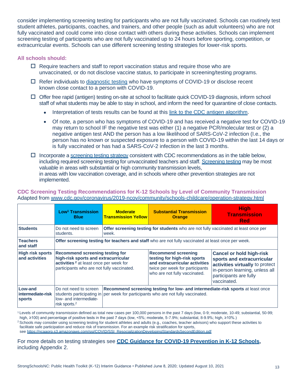consider implementing screening testing for participants who are not fully vaccinated. Schools can routinely test student athletes, participants, coaches, and trainers, and other people (such as adult volunteers) who are not fully vaccinated and could come into close contact with others during these activities. Schools can implement screening testing of participants who are not fully vaccinated up to 24 hours before sporting, competition, or extracurricular events. Schools can use different screening testing strategies for lower-risk sports.

#### **All schools should:**

- $\Box$  Require teachers and staff to report vaccination status and require those who are unvaccinated, or do not disclose vaccine status, to participate in screening/testing programs.
- $\Box$  Refer individuals to [diagnostic testing](https://covid19.ncdhhs.gov/media/2242/open) who have symptoms of COVID-19 or disclose recent known close contact to a person with COVID-19.
- $\Box$  Offer free rapid (antigen) testing on-site at school to facilitate quick COVID-19 diagnosis, inform school staff of what students may be able to stay in school, and inform the need for quarantine of close contacts.
	- Interpretation of tests results can be found at this [link to the CDC antigen algorithm.](https://www.cdc.gov/coronavirus/2019-ncov/lab/resources/antigen-tests-guidelines.html#using-antigen-tests-community-settings)
	- Of note, a person who has symptoms of COVID-19 and has received a negative test for COVID-19 may return to school IF the negative test was either (1) a negative PCR/molecular test or (2) a negative antigen test AND the person has a low likelihood of SARS-CoV-2 infection (I.e., the person has no known or suspected exposure to a person with COVID-19 within the last 14 days or is fully vaccinated or has had a SARS-CoV-2 infection in the last 3 months.
- $\Box$  Incorporate a [screening testing strategy](https://covid19.ncdhhs.gov/media/2242/open) consistent with CDC recommendations as in the table below, including required screening testing for unvaccinated teachers and staff. [Screening testing](https://www.cdc.gov/coronavirus/2019-ncov/lab/resources/sars-cov2-testing-strategies.html) may be most valuable in areas with substantial or high community transmission levels, in areas with low vaccination coverage, and in schools where other prevention strategies are not implemented.

#### **CDC Screening Testing Recommendations for K-12 Schools by Level of Community Transmission** Adapted from [www.cdc.gov/coronavirus/2019-ncov/community/schools-childcare/operation-strategy.html](https://www.cdc.gov/coronavirus/2019-ncov/community/schools-childcare/operation-strategy.html#anchor_1616080181070)

|                                               | Low <sup>1</sup> Transmission<br><b>Blue</b>                                                                                                                                       | <b>Moderate</b><br><b>Transmission Yellow</b>                                                                                                                        | <b>Substantial Transmission</b><br><b>Orange</b>                                                                                                                 | <b>High</b><br><b>Transmission</b><br>Red                                                                                                                                   |
|-----------------------------------------------|------------------------------------------------------------------------------------------------------------------------------------------------------------------------------------|----------------------------------------------------------------------------------------------------------------------------------------------------------------------|------------------------------------------------------------------------------------------------------------------------------------------------------------------|-----------------------------------------------------------------------------------------------------------------------------------------------------------------------------|
| <b>Students</b>                               | Do not need to screen<br>students.                                                                                                                                                 | <b>Offer screening testing for students</b> who are not fully vaccinated at least once per<br>week.                                                                  |                                                                                                                                                                  |                                                                                                                                                                             |
| <b>Teachers</b><br>and staff                  | Offer screening testing for teachers and staff who are not fully vaccinated at least once per week.                                                                                |                                                                                                                                                                      |                                                                                                                                                                  |                                                                                                                                                                             |
| <b>High risk sports</b><br>and activities     | <b>Recommend screening testing for</b><br>high-risk sports and extracurricular<br>activities <sup>2</sup> at least once per week for<br>participants who are not fully vaccinated. |                                                                                                                                                                      | <b>Recommend screening</b><br>testing for high-risk sports<br>and extracurricular activities<br>twice per week for participants<br>who are not fully vaccinated. | <b>Cancel or hold high-risk</b><br>sports and extracurricular<br>activities virtually to protect<br>in-person learning, unless all<br>participants are fully<br>vaccinated. |
| Low-and<br>intermediate-risk<br><b>sports</b> | Do not need to screen<br>low- and intermediate-<br>risk sports. <sup>2</sup>                                                                                                       | Recommend screening testing for low- and intermediate-risk sports at least once<br>students participating in per week for participants who are not fully vaccinated. |                                                                                                                                                                  |                                                                                                                                                                             |

<sup>1</sup> Levels of community transmission defined as total new cases per 100,000 persons in the past 7 days (low, 0-9; moderate, 10-49; substantial, 50-99; high, ≥100) and percentage of positive tests in the past 7 days (low, <5%; moderate, 5-7.9%; substantial, 8-9.9%; high, ≥10%.)

<sup>2</sup> Schools may consider using screening testing for student athletes and adults (e.g., coaches, teacher advisors) who support these activities to facilitate safe participation and reduce risk of transmission. For an example risk stratification for sports,

see [https://ncaaorg.s3.amazonaws.com/ssi/COVID/SSI\\_ResocializationDevelopingStandardsSecondEdition.pdf](https://ncaaorg.s3.amazonaws.com/ssi/COVID/SSI_ResocializationDevelopingStandardsSecondEdition.pdf)

For more details on testing strategies see **[CDC Guidance for COVID-19 Prevention in K-12 Schools,](https://www.cdc.gov/coronavirus/2019-ncov/community/schools-childcare/k-12-guidance.html)**  including Appendix 2.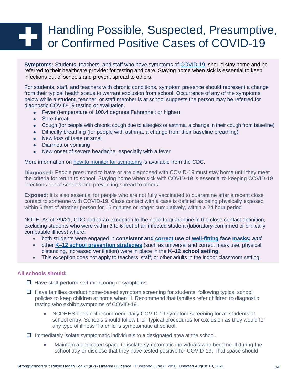## <span id="page-13-0"></span>Handling Possible, Suspected, Presumptive, or Confirmed Positive Cases of COVID-19

**Symptoms:** Students, teachers, and staff who have symptoms of [COVID-19,](https://www.cdc.gov/coronavirus/2019-ncov/symptoms-testing/symptoms.html) should stay home and be referred to their healthcare provider for testing and care. Staying home when sick is essential to keep infections out of schools and prevent spread to others.

For students, staff, and teachers with chronic conditions, symptom presence should represent a change from their typical health status to warrant exclusion from school. Occurrence of any of the symptoms below while a student, teacher, or staff member is at school suggests the person may be referred for diagnostic COVID-19 testing or evaluation.

- Fever (temperature of 100.4 degrees Fahrenheit or higher)
- Sore throat
- Cough (for people with chronic cough due to allergies or asthma, a change in their cough from baseline)
- Difficulty breathing (for people with asthma, a change from their baseline breathing)
- New loss of taste or smell
- Diarrhea or vomiting
- New onset of severe headache, especially with a fever

More information on [how to monitor for symptoms](https://www.cdc.gov/coronavirus/2019-ncov/community/schools-childcare/symptom-screening.html) is available from the CDC.

**Diagnosed:** People presumed to have or are diagnosed with COVID-19 must stay home until they meet the criteria for return to school. Staying home when sick with COVID-19 is essential to keeping COVID-19 infections out of schools and preventing spread to others.

**Exposed**: It is also essential for people who are not fully vaccinated to quarantine after a recent close contact to someone with COVID-19. Close contact with a case is defined as being physically exposed within 6 feet of another person for 15 minutes or longer cumulatively, within a 24 hour period

NOTE: As of 7/9/21, CDC added an exception to the need to quarantine in the close contact definition, excluding students who were within 3 to 6 feet of an infected student (laboratory-confirmed or clinically compatible illness) where:

- both students were engaged in **consistent and [correct](https://www.cdc.gov/coronavirus/2019-ncov/your-health/effective-masks.html) use of [well-fitting](https://www.cdc.gov/coronavirus/2019-ncov/prevent-getting-sick/mask-fit-and-filtration.html) face [masks;](https://www.cdc.gov/coronavirus/2019-ncov/community/schools-childcare/cloth-face-cover.html)** *and*
- other **[K–12 school prevention strategies](https://www.cdc.gov/coronavirus/2019-ncov/community/schools-childcare/operation-strategy.html)** (such as universal and correct mask use, physical distancing, increased ventilation) were in place in the **K–12 school setting.**
- This exception does not apply to teachers, staff, or other adults in the indoor classroom setting.

#### **All schools should:**

 $\Box$  Have staff perform self-monitoring of symptoms.

- $\Box$  Have families conduct home-based symptom screening for students, following typical school policies to keep children at home when ill. Recommend that families refer children to diagnostic testing who exhibit symptoms of COVID-19.
	- NCDHHS does not recommend daily COVID-19 symptom screening for all students at school entry. Schools should follow their typical procedures for exclusion as they would for any type of illness if a child is symptomatic at school.

 $\Box$  Immediately isolate symptomatic individuals to a designated area at the school.

• Maintain a dedicated space to isolate symptomatic individuals who become ill during the school day or disclose that they have tested positive for COVID-19. That space should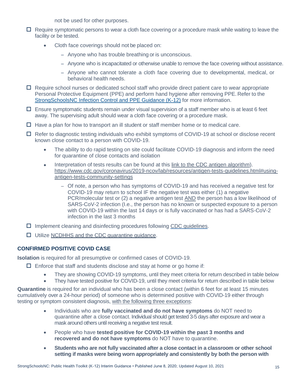not be used for other purposes.

- $\Box$  Require symptomatic persons to wear a cloth face covering or a procedure mask while waiting to leave the facility or be tested.
	- Cloth face coverings should not be placed on:
		- Anyone who has trouble breathing or is unconscious.
		- Anyone who is incapacitated or otherwise unable to remove the face covering without assistance.
		- Anyone who cannot tolerate a cloth face covering due to developmental, medical, or behavioral health needs.
- $\Box$  Require school nurses or dedicated school staff who provide direct patient care to wear appropriate Personal Protective Equipment (PPE) and perform hand hygiene after removing PPE. Refer to the [StrongSchoolsNC](https://files.nc.gov/covid/documents/guidance/education/Strong-Schools-NC-Public-Health-Toolkit-PPE-Guidance.pdf) [Infection Control and PPE Guidance \(K-12\)](https://files.nc.gov/covid/documents/guidance/education/Strong-Schools-NC-Public-Health-Toolkit-PPE-Guidance.pdf) for more information.
- $\Box$  Ensure symptomatic students remain under visual supervision of a staff member who is at least 6 feet away. The supervising adult should wear a cloth face covering or a procedure mask.
- $\Box$  Have a plan for how to transport an ill student or staff member home or to medical care.
- $\Box$  Refer to diagnostic testing individuals who exhibit symptoms of COVID-19 at school or disclose recent known close contact to a person with COVID-19.
	- The ability to do rapid testing on site could facilitate COVID-19 diagnosis and inform the need for quarantine of close contacts and isolation
	- Interpretation of tests results can be found at this [link to the CDC antigen algorithm\)](https://www.cdc.gov/coronavirus/2019-ncov/lab/resources/antigen-tests-guidelines.html#using-antigen-tests-community-settings). [https://www.cdc.gov/coronavirus/2019-ncov/lab/resources/antigen-tests-guidelines.html#using](https://www.cdc.gov/coronavirus/2019-ncov/lab/resources/antigen-tests-guidelines.html#using-antigen-tests-community-settings)[antigen-tests-community-settings](https://www.cdc.gov/coronavirus/2019-ncov/lab/resources/antigen-tests-guidelines.html#using-antigen-tests-community-settings)
		- Of note, a person who has symptoms of COVID-19 and has received a negative test for COVID-19 may return to school IF the negative test was either (1) a negative PCR/molecular test or (2) a negative antigen test AND the person has a low likelihood of SARS-CoV-2 infection (I.e., the person has no known or suspected exposure to a person with COVID-19 within the last 14 days or is fully vaccinated or has had a SARS-CoV-2 infection in the last 3 months
- $\Box$  Implement cleaning and disinfecting procedures following [CDC guidelines.](https://www.cdc.gov/coronavirus/2019-ncov/community/schools-childcare/clean-disinfect-hygiene.html)
- □ Utilize NCDHHS and the CDC quarantine quidance.

#### **CONFIRMED POSITIVE COVID CASE**

**Isolation** is required for all presumptive or confirmed cases of COVID-19.

- $\Box$  Enforce that [staff and students d](https://www.cdc.gov/coronavirus/2019-ncov/if-you-are-sick/steps-when-sick.html)isclose and stay at home or go home if:
	- They are showing COVID-19 symptoms, until they meet criteria for return described in table below
	- They have tested positive for COVID-19, until they meet criteria for return described in table below

**Quarantine** is required for an individual who has been a close contact (within 6 feet for at least 15 minutes cumulatively over a 24-hour period) of someone who is determined positive with COVID-19 either through testing or symptom consistent diagnosis, with the following three exceptions:

- Individuals who are **fully vaccinated and do not have symptoms** do NOT need to quarantine after a close contact. Individual should get tested 3-5 days after exposure and wear a mask around others until receiving a negative test result.
- People who have **tested positive for COVID-19 within the past 3 months and recovered and do not have symptoms** do NOT have to quarantine.
- **Students who are not fully vaccinated after a close contact in a classroom or other school setting if masks were being worn appropriately and consistently by both the person with**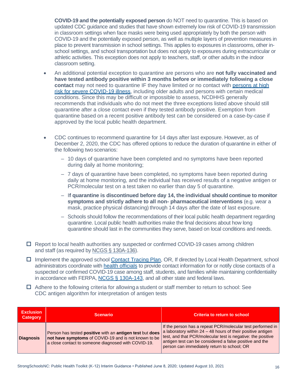**COVID-19 and the potentially exposed person** do NOT need to quarantine. This is based on updated CDC guidance and studies that have shown extremely low risk of COVID-19 transmission in classroom settings when face masks were being used appropriately by both the person with COVID-19 and the potentially exposed person, as well as multiple layers of prevention measures in place to prevent transmission in school settings. This applies to exposures in classrooms, other inschool settings, and school transportation but does not apply to exposures during extracurricular or athletic activities. This exception does not apply to teachers, staff, or other adults in the indoor classroom setting.

- An additional potential exception to quarantine are persons who are **not fully vaccinated and have tested antibody positive within 3 months before or immediately following a close**  contact may not need to quarantine IF they have limited or no contact with persons at high [risk for severe COVID-19 illness,](https://www.cdc.gov/coronavirus/2019-ncov/need-extra-precautions/index.html) including older adults and persons with certain medical conditions. Since this may be difficult or impossible to assess, NCDHHS generally recommends that individuals who do not meet the three exceptions listed above should still quarantine after a close contact even if they tested antibody positive. Exemption from quarantine based on a recent positive antibody test can be considered on a case-by-case if approved by the local public health department.
- CDC continues to recommend quarantine for 14 days after last exposure. However, as of December 2, 2020, the CDC has offered options to reduce the duration of quarantine in either of the following two scenarios:
	- 10 days of quarantine have been completed and no symptoms have been reported during daily at home monitoring;
	- 7 days of quarantine have been completed, no symptoms have been reported during daily at home monitoring, and the individual has received results of a negative antigen or PCR/molecular test on a test taken no earlier than day 5 of quarantine.
	- I**f quarantine is discontinued before day 14, the individual should continue to monitor symptoms and strictly adhere to all non- pharmaceutical interventions** (e.g. wear a mask, practice physical distancing) through 14 days after the date of last exposure.
	- Schools should follow the recommendations of their local public health department regarding quarantine. Local public health authorities make the final decisions about how long quarantine should last in the communities they serve, based on local conditions and needs.
- $\Box$  Report to local health authorities any suspected or confirmed COVID-19 cases among children and staff (as required by NCGS § [130A-136\)](https://www.ncleg.net/EnactedLegislation/Statutes/HTML/BySection/Chapter_130A/GS_130A-136.html).
- □ Implement the approved school [Contact Tracing Plan,](https://files.nc.gov/covid/documents/guidance/education/StrongSchoolsNC-Contact-Tracing-Procedures.pdf) OR, If directed by Local Health Department, school administrators coordinate with [health officials](https://www.ncalhd.org/directors) to provide contact information for or notify close contacts of a suspected or confirmed COVID-19 case among staff, students, and families while maintaining confidentiality in accordance with FERPA, [NCGS § 130A-143,](https://www.ncleg.gov/EnactedLegislation/Statutes/HTML/BySection/Chapter_130A/GS_130A-143.html) and all other state and federal laws.
- $\Box$  Adhere to the following criteria for allowing a student or staff member to return to school: See CDC antigen algorithm for interpretation of antigen tests

| <b>Exclusion</b><br><b>Category</b> | <b>Scenario</b>                                                                                                                                                                              | <b>Criteria to return to school</b>                                                                                                                                                                                                                                                                  |
|-------------------------------------|----------------------------------------------------------------------------------------------------------------------------------------------------------------------------------------------|------------------------------------------------------------------------------------------------------------------------------------------------------------------------------------------------------------------------------------------------------------------------------------------------------|
| <b>Diagnosis</b>                    | Person has tested <b>positive</b> with an <b>antigen test</b> but <b>does</b><br>not have symptoms of COVID-19 and is not known to be<br>a close contact to someone diagnosed with COVID-19. | If the person has a repeat PCR/molecular test performed in<br>a laboratory within $24 - 48$ hours of their positive antigen<br>test, and that PCR/molecular test is negative: the positive<br>antigen test can be considered a false positive and the<br>person can immediately return to school; OR |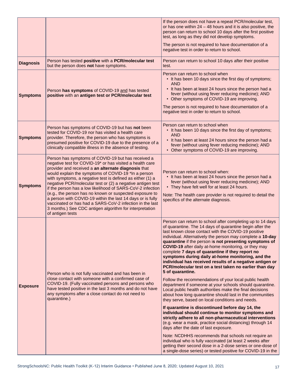|                  |                                                                                                                                                                                                                                                                                                                                                                                                                                                                                                                                                                                                                                                                                           | If the person does not have a repeat PCR/molecular test,<br>or has one within $24 - 48$ hours and it is also positive, the<br>person can return to school 10 days after the first positive<br>test, as long as they did not develop symptoms.<br>The person is not required to have documentation of a<br>negative test in order to return to school.                                                                                                                                                                                                                                                                                                                                                                                                                                                                                                                                                                                                                                                                                                                                                                                                                                                                                                                                                                                                                                                                                                   |
|------------------|-------------------------------------------------------------------------------------------------------------------------------------------------------------------------------------------------------------------------------------------------------------------------------------------------------------------------------------------------------------------------------------------------------------------------------------------------------------------------------------------------------------------------------------------------------------------------------------------------------------------------------------------------------------------------------------------|---------------------------------------------------------------------------------------------------------------------------------------------------------------------------------------------------------------------------------------------------------------------------------------------------------------------------------------------------------------------------------------------------------------------------------------------------------------------------------------------------------------------------------------------------------------------------------------------------------------------------------------------------------------------------------------------------------------------------------------------------------------------------------------------------------------------------------------------------------------------------------------------------------------------------------------------------------------------------------------------------------------------------------------------------------------------------------------------------------------------------------------------------------------------------------------------------------------------------------------------------------------------------------------------------------------------------------------------------------------------------------------------------------------------------------------------------------|
| <b>Diagnosis</b> | Person has tested positive with a PCR/molecular test<br>but the person does not have symptoms.                                                                                                                                                                                                                                                                                                                                                                                                                                                                                                                                                                                            | Person can return to school 10 days after their positive<br>test.                                                                                                                                                                                                                                                                                                                                                                                                                                                                                                                                                                                                                                                                                                                                                                                                                                                                                                                                                                                                                                                                                                                                                                                                                                                                                                                                                                                       |
| <b>Symptoms</b>  | Person has symptoms of COVID-19 and has tested<br>positive with an antigen test or PCR/molecular test                                                                                                                                                                                                                                                                                                                                                                                                                                                                                                                                                                                     | Person can return to school when<br>• It has been 10 days since the first day of symptoms;<br><b>AND</b><br>• It has been at least 24 hours since the person had a<br>fever (without using fever reducing medicine); AND<br>• Other symptoms of COVID-19 are improving.<br>The person is not required to have documentation of a<br>negative test in order to return to school.                                                                                                                                                                                                                                                                                                                                                                                                                                                                                                                                                                                                                                                                                                                                                                                                                                                                                                                                                                                                                                                                         |
| <b>Symptoms</b>  | Person has symptoms of COVID-19 but has not been<br>tested for COVID-19 nor has visited a health care<br>provider. Therefore, the person who has symptoms is<br>presumed positive for COVID-19 due to the presence of a<br>clinically compatible illness in the absence of testing.                                                                                                                                                                                                                                                                                                                                                                                                       | Person can return to school when<br>• It has been 10 days since the first day of symptoms;<br><b>AND</b><br>• It has been at least 24 hours since the person had a<br>fever (without using fever reducing medicine); AND<br>• Other symptoms of COVID-19 are improving.                                                                                                                                                                                                                                                                                                                                                                                                                                                                                                                                                                                                                                                                                                                                                                                                                                                                                                                                                                                                                                                                                                                                                                                 |
| <b>Symptoms</b>  | Person has symptoms of COVID-19 but has received a<br>negative test for COVID-19* or has visited a health care<br>provider and received a an alternate diagnosis that<br>would explain the symptoms of COVID-19 *In a person<br>with symptoms, a negative test is defined as either (1) a<br>negative PCR/molecular test or (2) a negative antigen test<br>if the person has a low likelihood of SARS-CoV-2 infection<br>(e.g., the person has no known or suspected exposure to<br>a person with COVID-19 within the last 14 days or is fully<br>vaccinated or has had a SARS-CoV-2 infection in the last<br>3 months.) See CDC antigen algorithm for interpretation<br>of antigen tests | Person can return to school when:<br>• It has been at least 24 hours since the person had a<br>fever (without using fever reducing medicine); AND<br>• They have felt well for at least 24 hours.<br>Note: The health care provider is not required to detail the<br>specifics of the alternate diagnosis.                                                                                                                                                                                                                                                                                                                                                                                                                                                                                                                                                                                                                                                                                                                                                                                                                                                                                                                                                                                                                                                                                                                                              |
| <b>Exposure</b>  | Person who is not fully vaccinated and has been in<br>close contact with someone with a confirmed case of<br>COVID-19. (Fully vaccinated persons and persons who<br>have tested positive in the last 3 months and do not have<br>any symptoms after a close contact do not need to<br>quarantine.)                                                                                                                                                                                                                                                                                                                                                                                        | Person can return to school after completing up to 14 days<br>of quarantine. The 14 days of quarantine begin after the<br>last known close contact with the COVID-19 positive<br>individual. Alternatively the person may complete a 10-day<br>quarantine if the person is not presenting symptoms of<br><b>COVID-19</b> after daily at-home monitoring, or they may<br>complete 7 days of quarantine if they report no<br>symptoms during daily at-home monitoring, and the<br>individual has received results of a negative antigen or<br>PCR/molecular test on a test taken no earlier than day<br>5 of quarantine.<br>Follow the recommendations of your local public health<br>department if someone at your schools should quarantine.<br>Local public health authorities make the final decisions<br>about how long quarantine should last in the communities<br>they serve, based on local conditions and needs.<br>If quarantine is discontinued before day 14, the<br>individual should continue to monitor symptoms and<br>strictly adhere to all non-pharmaceutical interventions<br>(e.g. wear a mask, practice social distancing) through 14<br>days after the date of last exposure.<br>Note: NCDHHS recommends that schools not require an<br>individual who is fully vaccinated (at least 2 weeks after<br>getting their second dose in a 2-dose series or one-dose of<br>a single-dose series) or tested positive for COVID-19 in the |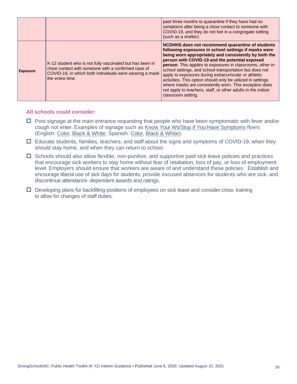|                 |                                                                                                                                                                                               | past three months to quarantine if they have had no<br>symptoms after being a close contact to someone with<br>COVID-19, and they do not live in a congregate setting<br>(such as a shelter).                                                                                                                                                                                                                                                                                                                                                                                                                              |
|-----------------|-----------------------------------------------------------------------------------------------------------------------------------------------------------------------------------------------|----------------------------------------------------------------------------------------------------------------------------------------------------------------------------------------------------------------------------------------------------------------------------------------------------------------------------------------------------------------------------------------------------------------------------------------------------------------------------------------------------------------------------------------------------------------------------------------------------------------------------|
| <b>Exposure</b> | K-12 student who is not fully vaccinated but has been in<br>close contact with someone with a confirmed case of<br>COVID-19, in which both individuals were wearing a mask<br>the entire time | <b>NCDHHS does not recommend quarantine of students</b><br>following exposures in school settings if masks were<br>being worn appropriately and consistently by both the<br>person with COVID-19 and the potential exposed<br>person. This applies to exposures in classrooms, other in-<br>school settings, and school transportation but does not<br>apply to exposures during extracurricular or athletic<br>activities. This option should only be utilized in settings<br>where masks are consistently worn. This exception does<br>not apply to teachers, staff, or other adults in the indoor<br>classroom setting. |

- $\Box$  Post signage at the main entrance requesting that people who have been symptomatic with fever and/or cough not enter. Examples of signage such as [Know Your Ws/Stop if You](https://covid19.ncdhhs.gov/materials-resources/know-your-ws-wear-wait-wash) [Have Symptoms](https://covid19.ncdhhs.gov/materials-resources/know-your-ws-wear-wait-wash) flyers (English: [Color,](https://files.nc.gov/ncdhhs/documents/files/covid-19/KnowYourWs-Business-Sign_ENG.pdf) [Black &](https://files.nc.gov/ncdhhs/documents/files/covid-19/KnowYourWs-BusinessSign-BW_ENG.pdf) [White;](https://files.nc.gov/ncdhhs/documents/files/covid-19/KnowYourWs-BusinessSign-BW_ENG.pdf) Spanish: [Color,](https://files.nc.gov/ncdhhs/documents/files/covid-19/KnowYourWs-Business-Sign_SPA.pdf) [Black & White\)](https://files.nc.gov/ncdhhs/documents/files/covid-19/SS-BusinessSign-BW_SPA.pdf).
- $\Box$  Educate students, families, teachers, and staff about the signs and symptoms of COVID-19, when they should stay home, and when they can return to school.
- $\Box$  Schools should also allow flexible, non-punitive, and supportive paid sick leave policies and practices that encourage sick workers to stay home without fear of retaliation, loss of pay, or loss of employment level. Employers should ensure that workers are aware of and understand these policies. Establish and encourage liberal use of sick days for students, provide excused absences for students who are sick. and discontinue attendance- dependent awards and ratings.
- $\Box$  Developing plans for backfilling positions of employees on sick leave and consider cross- training to allow for changes of staff duties.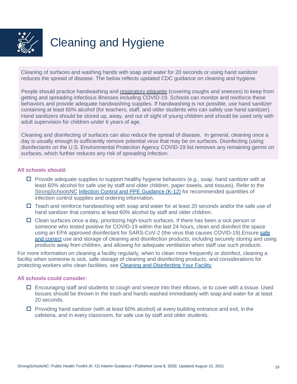<span id="page-18-0"></span>

# Cleaning and Hygiene

Cleaning of surfaces and washing hands with soap and water for 20 seconds or using hand sanitizer reduces the spread of disease. The below reflects updated CDC guidance on cleaning and hygiene.

People should practice handwashing and [respiratory etiquette](https://www.cdc.gov/healthywater/hygiene/etiquette/coughing_sneezing.html) (covering coughs and sneezes) to keep from getting and spreading infectious illnesses including COVID-19. Schools can monitor and reinforce these behaviors and provide adequate handwashing supplies. If handwashing is not possible, use hand sanitizer containing at least 60% alcohol (for teachers, staff, and older students who can safely use hand sanitizer). Hand sanitizers should be stored up, away, and out of sight of young children and should be used only with adult supervision for children under 6 years of age.

Cleaning and disinfecting of surfaces can also reduce the spread of disease. In general, cleaning once a day is usually enough to sufficiently remove potential virus that may be on surfaces. Disinfecting (using disinfectants on the U.S. Environmental Protection Agency COVID-19 list removes any remaining germs on surfaces, which further reduces any risk of spreading infection.

#### **All schools should:**

- $\Box$  Provide adequate supplies to support healthy hygiene behaviors (e.g., soap, hand sanitizer with at least 60% alcohol for safe use by staff and older children, paper towels, and tissues). Refer to the [StrongSchoolsNC](https://files.nc.gov/covid/documents/guidance/education/Strong-Schools-NC-Public-Health-Toolkit-PPE-Guidance.pdf) [Infection Control and PPE Guidance \(K-12\)](https://files.nc.gov/covid/documents/guidance/education/Strong-Schools-NC-Public-Health-Toolkit-PPE-Guidance.pdf) for recommended quantities of infection control supplies and ordering information.
- $\Box$  Teach and reinforce handwashing with soap and water for at least 20 seconds and/or the safe use of hand sanitizer that contains at least 60% alcohol by staff and older children.
- $\Box$  Clean surfaces once a day, prioritizing high-touch surfaces. If there has been a sick person or someone who tested positive for COVID-19 within the last 24 hours, clean and disinfect the space using an EPA approved disinfectant for SARS-CoV-2 (the virus that causes COVID-19).Ensure [safe](https://www.cdc.gov/coronavirus/2019-ncov/community/disinfecting-building-facility.html)  [and correct](https://www.cdc.gov/coronavirus/2019-ncov/community/disinfecting-building-facility.html) use and storage of cleaning and disinfection products, including securely storing and using products away from children, and allowing for adequate ventilation when staff use such products.

For more information on cleaning a facility regularly, when to clean more frequently or disinfect, cleaning a facility when someone is sick, safe storage of cleaning and disinfecting products, and considerations for protecting workers who clean facilities, see [Cleaning and Disinfecting Your Facility.](https://www.cdc.gov/coronavirus/2019-ncov/community/disinfecting-building-facility.html)

- $\Box$  Encouraging staff and students to cough and sneeze into their elbows, or to cover with a tissue. Used tissues should be thrown in the trash and hands washed immediately with soap and water for at least 20 seconds.
- $\Box$  Providing hand sanitizer (with at least 60% alcohol) at every building entrance and exit, in the cafeteria, and in every classroom, for safe use by staff and older students.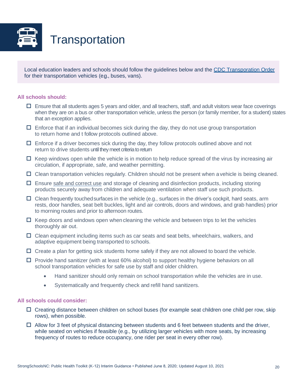<span id="page-19-0"></span>

Local education leaders and schools should follow the guidelines below and the [CDC Transporation Order](https://www.cdc.gov/quarantine/masks/mask-travel-guidance.html) for their transportation vehicles (e.g., buses, vans).

#### **All schools should:**

- $\Box$  Ensure that all students ages 5 years and older, and all teachers, staff, and adult visitors wear face coverings when they are on a bus or other transportation vehicle, unless the person (or family member, for a student) states that an exception applies.
- $\Box$  Enforce that if an individual becomes sick during the day, they do not use group transportation to return home and t follow protocols outlined above.
- $\Box$  Enforce if a driver becomes sick during the day, they follow protocols outlined above and not return to drive students until they meet criteria to return
- $\Box$  Keep windows open while the vehicle is in motion to help reduce spread of the virus by increasing air circulation, if appropriate, safe, and weather permitting.
- $\Box$  Clean transportation vehicles regularly. Children should not be present when a vehicle is being cleaned.
- $\Box$  Ensure [safe and correct use](https://www.epa.gov/sites/production/files/2020-04/documents/disinfectants-onepager.pdf) and storage of cleaning and disinfection products, including storing products securely away from children and adequate ventilation when staff use such products.
- $\Box$  Clean frequently touched surfaces in the vehicle (e.g., surfaces in the driver's cockpit, hard seats, arm rests, door handles, seat belt buckles, light and air controls, doors and windows, and grab handles) prior to morning routes and prior to afternoon routes.
- $\Box$  Keep doors and windows open when cleaning the vehicle and between trips to let the vehicles thoroughly air out.
- $\Box$  Clean equipment including items such as car seats and seat belts, wheelchairs, walkers, and adaptive equipment being transported to schools.
- $\Box$  Create a plan for getting sick students home safely if they are not allowed to board the vehicle.
- $\Box$  Provide hand sanitizer (with at least 60% alcohol) to support healthy hygiene behaviors on all school transportation vehicles for safe use by staff and older children.
	- Hand sanitizer should only remain on school transportation while the vehicles are in use.
	- Systematically and frequently check and refill hand sanitizers.

- $\Box$  Creating distance between children on school buses (for example seat children one child per row, skip rows), when possible.
- $\Box$  Allow for 3 feet of physical distancing between students and 6 feet between students and the driver, while seated on vehicles if feasible (e.g., by utilizing larger vehicles with more seats, by increasing frequency of routes to reduce occupancy, one rider per seat in every other row).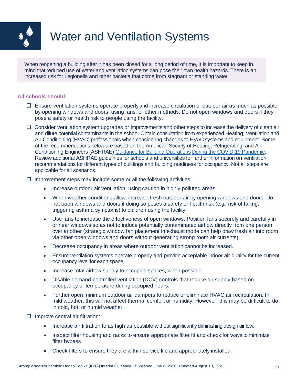<span id="page-20-0"></span>

### Water and Ventilation Systems

When reopening a building after it has been closed for a long period of time, it is important to keep in mind that reduced use of water and ventilation systems can pose their own health hazards. There is an increased risk for Legionella and other bacteria that come from stagnant or standing water.

#### **All schools should:**

- $\Box$  Ensure ventilation systems operate properly and increase circulation of outdoor air as much as possible by opening windows and doors, using fans, or other methods. Do not open windows and doors if they pose a safety or health risk to people using the facility.
- $\Box$  Consider ventilation system upgrades or improvements and other steps to increase the delivery of clean air and dilute potential contaminants in the school.Obtain consultation from experienced Heating, Ventilation and Air Conditioning (HVAC) professionals when considering changes to HVAC systems and equipment. Some of the recommendations below are based on the American Society of Heating, Refrigerating, and Air-Conditioning Engineers (ASHRAE) [Guidance for Building Operations](https://www.ashrae.org/news/ashraejournal/guidance-for-building-operations-during-the-covid-19-pandemic) [During the COVID-19 Pandemic.](https://www.ashrae.org/news/ashraejournal/guidance-for-building-operations-during-the-covid-19-pandemic) Review additional ASHRAE guidelines for schools and universities for further information on ventilation recommendations for different types of buildings and building readiness for occupancy. Not all steps are applicable for all scenarios.

#### $\Box$  Improvement steps may include some or all the following activities:

- Increase outdoor air ventilation, using caution in highly polluted areas.
- When weather conditions allow, increase fresh outdoor air by opening windows and doors. Do not open windows and doors if doing so poses a safety or health risk (e.g., risk of falling, triggering asthma symptoms) to children using the facility.
- Use fans to increase the effectiveness of open windows. Position fans securely and carefully in or near windows so as not to induce potentially contaminated airflow directly from one person over another (strategic window fan placement in exhaust mode can help draw fresh air into room via other open windows and doors without generating strong room air currents).
- Decrease occupancy in areas where outdoor ventilation cannot be increased.
- Ensure ventilation systems operate properly and provide acceptable indoor air quality for the current occupancy level for each space.
- Increase total airflow supply to occupied spaces, when possible.
- Disable demand-controlled ventilation (DCV) controls that reduce air supply based on occupancy or temperature during occupied hours.
- Further open minimum outdoor air dampers to reduce or eliminate HVAC air recirculation. In mild weather, this will not affect thermal comfort or humidity. However, this may be difficult to do in cold, hot, or humid weather.

 $\Box$  Improve central air filtration:

- Increase air filtration to as high as possible without significantly diminishing design airflow.
- Inspect filter housing and racks to ensure appropriate filter fit and check for ways to minimize filter bypass
- Check filters to ensure they are within service life and appropriately installed.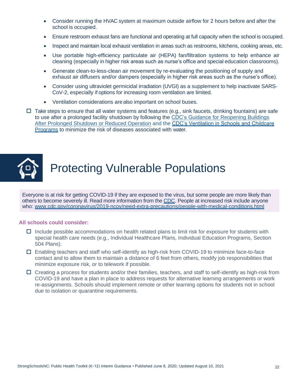- Consider running the HVAC system at maximum outside airflow for 2 hours before and after the school is occupied.
- Ensure restroom exhaust fans are functional and operating at full capacity when the school is occupied.
- Inspect and maintain local exhaust ventilation in areas such as restrooms, kitchens, cooking areas, etc.
- Use portable high-efficiency particulate air (HEPA) fan/filtration systems to help enhance air cleaning (especially in higher risk areas such as nurse's office and special education classrooms).
- Generate clean-to-less-clean air movement by re-evaluating the positioning of supply and exhaust air diffusers and/or dampers (especially in higher risk areas such as the nurse's office).
- Consider using ultraviolet germicidal irradiation (UVGI) as a supplement to help inactivate SARS-CoV-2, especially if options for increasing room ventilation are limited.
- Ventilation considerations are also important on school buses.
- $\Box$  Take steps to ensure that all water systems and features (e.g., sink faucets, drinking fountains) are safe to use after a prolonged facility shutdown by following the [CDC's Guidance for](https://www.cdc.gov/coronavirus/2019-ncov/php/building-water-system.html) Reopening Buildings [After Prolonged Shutdown](https://www.cdc.gov/coronavirus/2019-ncov/php/building-water-system.html) [or Reduced Operation](https://www.cdc.gov/coronavirus/2019-ncov/php/building-water-system.html) and the CDC's Ventilation in Schools and Childcare [Programs](https://www.cdc.gov/coronavirus/2019-ncov/community/schools-childcare/ventilation.html) to minimize the risk of diseases associated with water.

<span id="page-21-0"></span>

### Protecting Vulnerable Populations

Everyone is at risk for getting COVID-19 if they are exposed to the virus, but some people are more likely than others to become severely ill. Read more information from the [CDC.](https://www.cdc.gov/coronavirus/2019-ncov/need-extra-precautions/index.html) People at increased risk include anyone who: [www.cdc.gov/coronavirus/2019-ncov/need-extra-precautions/people-with-medical-conditions.html](https://www.cdc.gov/coronavirus/2019-ncov/need-extra-precautions/people-with-medical-conditions.html)

- $\Box$  Include possible accommodations on health related plans to limit risk for exposure for students with special health care needs (e.g., Individual Healthcare Plans, Individual Education Programs, Section 504 Plans).
- Enabling teachers and staff who self-identify as high-risk from COVID-19 to minimize face-to-face contact and to allow them to maintain a distance of 6 feet from others, modify job responsibilities that minimize exposure risk, or to telework if possible.
- $\Box$  Creating a process for students and/or their families, teachers, and staff to self-identify as high-risk from COVID-19 and have a plan in place to address requests for alternative learning arrangements or work re-assignments. Schools should implement remote or other learning options for students not in school due to isolation or quarantine requirements.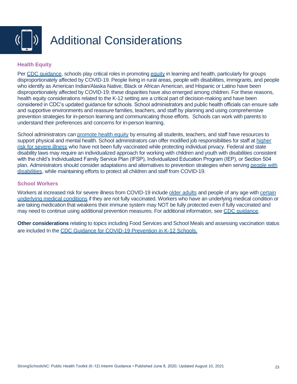<span id="page-22-0"></span>

#### **Health Equity**

Per CDC quidance, schools play critical roles in promoting [equity](https://www.cdc.gov/coronavirus/2019-ncov/community/health-equity/index.html) in learning and health, particularly for groups disproportionately affected by COVID-19. People living in rural areas, people with disabilities, immigrants, and people who identify as American Indian/Alaska Native, Black or African American, and Hispanic or Latino have been disproportionately affected by COVID-19; these disparities have also emerged among children. For these reasons, health equity considerations related to the K-12 setting are a critical part of decision-making and have been considered in CDC's updated guidance for schools. School administrators and public health officials can ensure safe and supportive environments and reassure families, teachers, and staff by planning and using comprehensive prevention strategies for in-person learning and communicating those efforts. Schools can work with parents to understand their preferences and concerns for in-person learning.

School administrators can [promote health equity](https://www.cdc.gov/coronavirus/2019-ncov/community/health-equity/what-we-can-do.html) by ensuring all students, teachers, and staff have resources to support physical and mental health. School administrators can offer modified job responsibilities for staff at higher [risk for severe illness](https://www.cdc.gov/coronavirus/2019-ncov/need-extra-precautions/index.html) who have not been fully vaccinated while protecting individual privacy. Federal and state disability laws may require an individualized approach for working with children and youth with disabilities consistent with the child's Individualized Family Service Plan (IFSP), Individualized Education Program (IEP), or Section 504 plan. Administrators should consider adaptations and alternatives to prevention strategies when serving [people with](https://www.cdc.gov/coronavirus/2019-ncov/need-extra-precautions/people-with-disabilities.html)  [disabilities,](https://www.cdc.gov/coronavirus/2019-ncov/need-extra-precautions/people-with-disabilities.html) while maintaining efforts to protect all children and staff from COVID-19.

#### **School Workers**

Workers at increased risk for severe illness from COVID-19 include [older adults](https://www.cdc.gov/coronavirus/2019-ncov/need-extra-precautions/older-adults.html) and people of any age with [certain](https://www.cdc.gov/coronavirus/2019-ncov/need-extra-precautions/people-with-medical-conditions.html)  [underlying medical conditions](https://www.cdc.gov/coronavirus/2019-ncov/need-extra-precautions/people-with-medical-conditions.html) if they are not fully vaccinated. Workers who have an underlying medical condition or are taking medication that weakens their immune system may NOT be fully protected even if fully vaccinated and may need to continue using additional prevention measures. For additional information, see [CDC guidance.](https://www.cdc.gov/coronavirus/2019-ncov/community/schools-childcare/k-12-guidance.html#anchor_1625662058182)

**Other considerations** relating to topics including Food Services and School Meals and assessing vaccination status are included In th[e CDC Guidance for COVID-19 Prevention in K-12 Schools.](https://www.cdc.gov/coronavirus/2019-ncov/community/schools-childcare/k-12-guidance.html)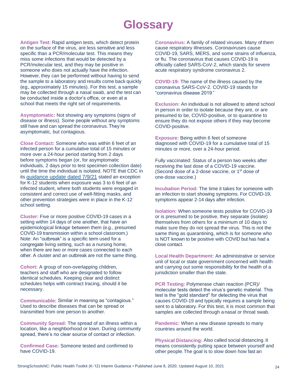### **Glossary**

<span id="page-23-0"></span>**Antigen Test:** Rapid antigen tests, which detect protein on the surface of the virus, are less sensitive and less specific than a PCR/molecular test. This means they miss some infections that would be detected by a PCR/molecular test, and they may be positive in someone who does not actually have the infection. However, they can be performed without having to send the sample to a laboratory and results come back quickly (e.g., approximately 15 minutes). For this test, a sample may be collected through a nasal swab, and the test can be conducted inside a doctor's office, or even at a school that meets the right set of requirements.

**Asymptomatic:** Not showing any symptoms (signs of disease or illness). Some people without any symptoms still have and can spread the coronavirus.They're asymptomatic, but contagious.

**Close Contact:** Someone who was within 6 feet of an infected person for a cumulative total of 15 minutes or more over a 24-hour period starting from 2 days before symptoms began (or, for asymptomatic individuals, 2 days prior to test specimen collection date) until the time the individual is isolated. NOTE that CDC in its [guidance update dated 7/9/21](https://www.cdc.gov/coronavirus/2019-ncov/php/contact-tracing/contact-tracing-plan/appendix.html#contact) stated an exception for K-12 students when exposure was 3 to 6 feet of an infected student, where both students were engaged in consistent and correct use of well-fitting masks, and other prevention strategies were in place in the K-12 school setting.

**Cluster:** Five or more positive COVID-19 cases in a setting within 14 days of one another, that have an epidemiological linkage between them (e.g., presumed COVID-19 transmission within a school classroom.) Note: An "outbreak" is a specific term used for a congregate living setting, such as a nursing home, when there are two or more cases connected to each other. A cluster and an outbreak are not the same thing.

**Cohort:** A group of non-overlapping children, teachers and staff who are designated to follow identical schedules. Keeping clear and distinct schedules helps with contract tracing, should it be necessary.

**Communicable:** Similar in meaning as "contagious." Used to describe diseases that can be spread or transmitted from one person to another.

**Community Spread:** The spread of an illness within a location, like a neighborhood or town. During community spread, there's no clear source of contact or infection.

**Confirmed Case:** Someone tested and confirmed to have COVID-19.

**Coronavirus:** A family of related viruses. Many of them cause respiratory illnesses. Coronaviruses cause COVID-19, SARS, MERS, and some strains of influenza, or flu. The coronavirus that causes COVID-19 is officially called SARS-CoV-2, which stands for severe acute respiratory syndrome coronavirus 2.

**COVID-19:** The name of the illness caused by the coronavirus SARS-CoV-2. COVID-19 stands for "coronavirus disease 2019."

**Exclusion:** An individual is not allowed to attend school in person in order to isolate because they are, or are presumed to be, COVID-positive, or to quarantine to ensure they do not expose others if they may become COVID-positive.

**Exposure:** Being within 6 feet of someone diagnosed with COVID-19 for a cumulative total of 15 minutes or more, over a 24-hour period.

Fully vaccinated: Status of a person two weeks after receiving the last dose of a COVID-19 vaccine. (Second dose of a 2-dose vaccine, or 1<sup>st</sup> dose of one-dose vaccine.)

**Incubation Period:** The time it takes for someone with an infection to start showing symptoms. For COVID-19, symptoms appear 2-14 days after infection.

**Isolation:** When someone tests positive for COVID-19 or is presumed to be positive, they separate (isolate) themselves from others for a minimum of 10 days to make sure they do not spread the virus. This is not the same thing as quarantining, which is for someone who is NOT known to be positive with COVID but has had a close contact.

**Local Health Department:** An administrative or service unit of local or state government concerned with health and carrying out some responsibility for the health of a jurisdiction smaller than the state.

**PCR Testing:** Polymerase chain reaction (PCR)/ molecular tests detect the virus's genetic material. This test is the "gold standard" for detecting the virus that causes COVID-19 and typically requires a sample being sent to a laboratory. For this test, it is most common that samples are collected through a nasal or throat swab.

**Pandemic:** When a new disease spreads to many countries around the world.

**Physical Distancing:** Also called social distancing. It means consistently putting space between yourself and other people.The goal is to slow down how fast an